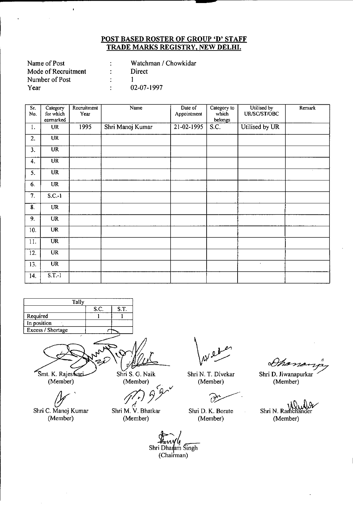| Watchman / Chowkidar |
|----------------------|
| Direct               |
|                      |
| 02-07-1997           |
|                      |

 $\bar{\mathbf{r}}$ 

| Sr.<br>No. | Category<br>for which      | Recruitment<br>Year | Name             | Date of<br>Appointment | Category to<br>which                 | Utilised by<br>UR/SC/ST/OBC | Remark |
|------------|----------------------------|---------------------|------------------|------------------------|--------------------------------------|-----------------------------|--------|
|            | earmarked                  |                     |                  |                        | belongs                              |                             |        |
| 1.         | <b>UR</b>                  | 1995                | Shri Manoj Kumar | $21 - 02 - 1995$       | $\overline{\mathbf{S} \mathbf{C}}$ . | Utilised by UR              |        |
| 2.         | <b>UR</b>                  |                     |                  |                        |                                      |                             |        |
| 3.         | $\overline{\text{UR}}$     |                     |                  |                        |                                      |                             |        |
| 4.         | $\overline{\text{UR}}$     |                     |                  |                        |                                      |                             |        |
| 5.         | <b>UR</b>                  |                     |                  |                        |                                      |                             |        |
| 6.         | UR                         |                     |                  |                        |                                      |                             |        |
| 7.         | $S.C.-1$                   |                     |                  |                        |                                      |                             |        |
| 8.         | UR                         |                     |                  |                        |                                      |                             |        |
| 9.         | UR                         |                     |                  |                        |                                      |                             |        |
| 10.        | <b>UR</b>                  |                     |                  |                        |                                      |                             |        |
| 11.        | $\overline{\text{UR}}$     |                     |                  |                        |                                      |                             |        |
| 12.        | <b>UR</b>                  |                     |                  |                        |                                      |                             |        |
| 13.        | <b>UR</b>                  |                     |                  |                        |                                      | $\cdot$                     |        |
| 14.        | $\overline{\text{S.T.-1}}$ |                     |                  |                        |                                      |                             |        |



(Member)

(Member) *(' v*

!j/J*3Y* ليم

 $\mathscr{Y}$ Shri C. Manoj Kumar (Member)

Shri M. V. Bhatkar (Member)

Shri N. T. Divekar (Member)

للزوغ

Shri D. K. Borate (Member)

Shan

.<br>Shri D. Jiwanapurka (Member)

Shri N. Ramchande (Member)

Shri Dharai (Chairman)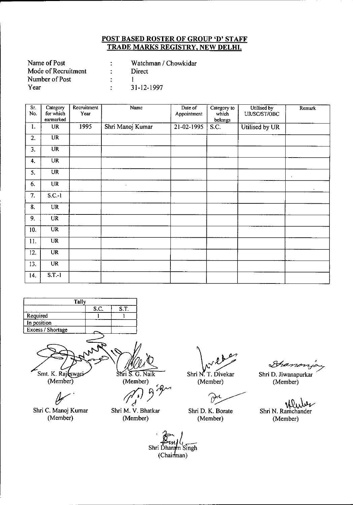| Name of Post        | Watchman / Chowkidar |
|---------------------|----------------------|
| Mode of Recruitment | Direct               |
| Number of Post      |                      |
| Year                | 31-12-1997           |

| Sr.<br>No. | Category<br>for which<br>earmarked | Recruitment<br>Year | Name             | Date of<br>Appointment | Category to<br>which<br>belongs | Utilised by<br>UR/SC/ST/OBC | Remark     |
|------------|------------------------------------|---------------------|------------------|------------------------|---------------------------------|-----------------------------|------------|
| 1.         | <b>UR</b>                          | 1995                | Shri Manoj Kumar | 21-02-1995             | S.C.                            | Utilised by UR              |            |
| 2.         | $\overline{\text{UR}}$             |                     |                  |                        |                                 |                             |            |
| 3.         | <b>UR</b>                          |                     |                  |                        |                                 |                             |            |
| 4.         | <b>UR</b>                          |                     |                  |                        |                                 |                             |            |
| 5.         | <b>UR</b>                          |                     |                  |                        |                                 |                             | $\epsilon$ |
| 6.         | <b>UR</b>                          |                     | $\bullet$        |                        |                                 |                             |            |
| 7.         | $S.C.-1$                           |                     |                  |                        |                                 |                             |            |
| 8.         | <b>UR</b>                          |                     |                  |                        |                                 |                             |            |
| 9.         | UR                                 |                     |                  |                        |                                 |                             |            |
| 10.        | UR                                 |                     |                  |                        |                                 |                             |            |
| 11.        | <b>UR</b>                          |                     |                  |                        |                                 |                             |            |
| 12.        | $\overline{\text{UR}}$             |                     |                  |                        |                                 |                             |            |
| 13.        | $\overline{\text{UR}}$             |                     |                  |                        |                                 |                             |            |
| 14.        | $S.T.-1$                           |                     |                  |                        |                                 |                             |            |



Ÿ

Shri C. Manoj Kumar (Member)

Shri S. G. Naik (Member)

 $r$ *i*  $\frac{S \cdot G \cdot \text{Naik}}{P}$  SI<br> *(Member)*<br> *r* 

Shri M. V. Bhatkar (Member)

Shri N. T. Divekar

(Member)

 $\theta^{\prime}$ 

Shri D. K. Borate (Member)

Shano.

Shri D. Jiwanapurkar (Member)

W Shri N. Ramchander (Member)

Shri Dharam Singh (Chairman)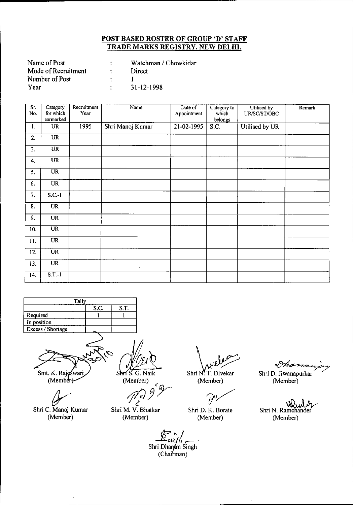| Name of Post        | Watchman / Chowkidar |
|---------------------|----------------------|
| Mode of Recruitment | Direct               |
| Number of Post      |                      |
| Year                | $31 - 12 - 1998$     |

| $\overline{\text{Sr.}}$<br>No. | Category<br>for which<br>earmarked | Recruitment<br>Year | Name             | Date of<br>Appointment  | Category to<br>which<br>belongs | Utilised by<br>UR/SC/ST/OBC | Remark |
|--------------------------------|------------------------------------|---------------------|------------------|-------------------------|---------------------------------|-----------------------------|--------|
| 1.                             | <b>UR</b>                          | 1995                | Shri Manoj Kumar | $\overline{21-02-1995}$ | S.C.                            | Utilised by UR              |        |
| 2.                             | $\overline{\text{UR}}$             |                     |                  |                         |                                 |                             |        |
| 3.                             | <b>UR</b>                          |                     |                  |                         |                                 |                             |        |
| 4.                             | <b>UR</b>                          |                     |                  |                         |                                 |                             |        |
| 5.                             | UR                                 |                     |                  |                         |                                 |                             |        |
| 6.                             | <b>UR</b>                          |                     |                  |                         |                                 |                             |        |
| 7.                             | $S.C.-1$                           |                     |                  |                         |                                 |                             |        |
| 8.                             | <b>UR</b>                          |                     |                  |                         |                                 |                             |        |
| 9.                             | <b>UR</b>                          |                     |                  |                         |                                 |                             |        |
| 10.                            | $\overline{\text{UR}}$             |                     |                  |                         |                                 |                             |        |
| 11.                            | <b>UR</b>                          |                     |                  |                         |                                 |                             |        |
| 12.                            | <b>UR</b>                          |                     |                  |                         |                                 |                             |        |
| 13.                            | $\overline{\text{UR}}$             |                     | $\cdot$          |                         |                                 |                             |        |
| 14.                            | $S.T.-1$                           |                     |                  |                         |                                 |                             |        |



Smt. K. Rajoswari<br>(Member)

*fr'* Shri C. Manoj Kumar

(Member)

Shri S. G. Naik

(Member) *1l?!/r*

Shri M. V. Bhatkar (Member)

Shri N. T. Divekar

(Member)

Ĥ

Shri D. K. Borate (Member)

Ohar

Shri D. Jiwanapurkar (Member)

Shri N. Ramchander (Member)

Euryle<br>Shri Dharam Singh<br>(Chairman)  $(Cha' rman)$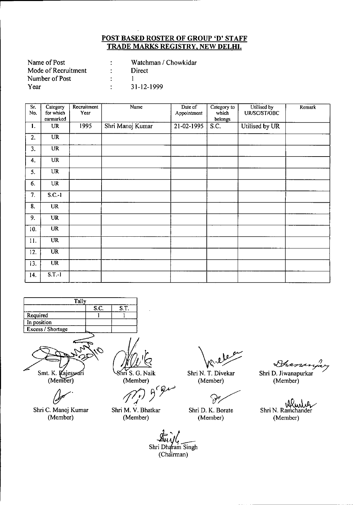| Name of Post        | Watchman / Chowkidar |
|---------------------|----------------------|
| Mode of Recruitment | Direct               |
| Number of Post      |                      |
| Year                | 31-12-1999           |

| $\overline{\text{Sr.}}$<br>No. | Category<br>for which<br>earmarked | Recruitment<br>Year | Name             | Date of<br>Appointment | Category to<br>which<br>belongs | Utilised by<br>UR/SC/ST/OBC | Remark |
|--------------------------------|------------------------------------|---------------------|------------------|------------------------|---------------------------------|-----------------------------|--------|
| 1.                             | <b>UR</b>                          | 1995                | Shri Manoj Kumar | 21-02-1995             | S.C.                            | Utilised by UR              |        |
| 2.                             | $\overline{\text{UR}}$             |                     |                  |                        |                                 |                             |        |
| 3.                             | $\overline{UR}$                    |                     |                  |                        |                                 |                             |        |
| 4.                             | <b>UR</b>                          |                     |                  |                        |                                 |                             |        |
| 5.                             | <b>UR</b>                          |                     |                  |                        |                                 |                             |        |
| 6.                             | UR                                 |                     |                  |                        |                                 |                             |        |
| 7.                             | $S.C.-1$                           |                     |                  |                        |                                 |                             |        |
| 8.                             | <b>UR</b>                          |                     |                  |                        |                                 |                             |        |
| 9.                             | <b>UR</b>                          |                     |                  |                        |                                 |                             |        |
| 10.                            | <b>UR</b>                          |                     |                  |                        |                                 |                             |        |
| 11.                            | <b>UR</b>                          |                     |                  |                        |                                 |                             |        |
| 12.                            | <b>UR</b>                          |                     |                  |                        |                                 |                             |        |
| 13.                            | $\overline{\text{UR}}$             |                     |                  |                        |                                 |                             |        |
| 14.                            | $S.T.-1$                           |                     |                  |                        |                                 |                             |        |



Smt. K. Kajeswari<br>(Member)

*(}f'*

Shri C. Manoj Kumar (Member)

hri S. G. Naik

(Member)<br>(*(r)* 9<sup>6</sup> gu

Shri M. V. Bhatkar (Member)

Shri N. T. Divekar

(Member)

V,

Shri D. K. Borate (Member)

*~I)*

Shri D. Jiwanapurkar 7 (Member)

idlun . 0. Shri N. Ramchander (Member)

 $\frac{1}{2}$ Shri Dharam Singh (Chairman)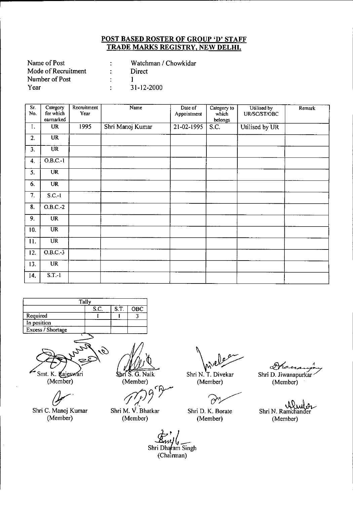| Name of Post        | Watchman / Chowkidar |
|---------------------|----------------------|
| Mode of Recruitment | Direct               |
| Number of Post      |                      |
| Year                | 31-12-2000           |

| $\overline{\text{Sr.}}$<br>No. | Category<br>for which<br>earmarked | Recruitment<br>Year | Name             | Date of<br>Appointment | Category to<br>which<br>belongs | Utilised by<br>UR/SC/ST/OBC | Remark |
|--------------------------------|------------------------------------|---------------------|------------------|------------------------|---------------------------------|-----------------------------|--------|
| 1.                             | <b>UR</b>                          | 1995                | Shri Manoj Kumar | 21-02-1995             | S.C.                            | Utilised by UR              |        |
| 2.                             | <b>UR</b>                          |                     |                  |                        |                                 |                             |        |
| 3.                             | $\overline{\text{UR}}$             |                     |                  |                        |                                 |                             |        |
| 4.                             | O.B.C.1                            |                     |                  |                        |                                 |                             |        |
| 5.                             | <b>UR</b>                          |                     |                  |                        |                                 |                             |        |
| 6.                             | <b>UR</b>                          |                     |                  |                        |                                 |                             |        |
| 7.                             | $S.C.-I$                           |                     |                  |                        |                                 |                             |        |
| 8.                             | O.B.C.-2                           |                     |                  |                        |                                 |                             |        |
| 9.                             | UR                                 |                     |                  |                        |                                 |                             |        |
| 10.                            | <b>UR</b>                          |                     |                  |                        |                                 |                             |        |
| 11.                            | $\overline{\text{UR}}$             |                     |                  |                        |                                 |                             |        |
| 12.                            | O.B.C.3                            |                     |                  |                        |                                 |                             |        |
| 13.                            | <b>UR</b>                          |                     |                  |                        |                                 |                             |        |
| 14.                            | $S.T.-1$                           |                     |                  |                        |                                 |                             |        |





(Member)

*(Jr'*

Shri C. Manoj Kumar (Member)

\$bri S. G. Naik

(Member)

*tf7/J~~Y*

Shri M. V. Bhatkar (Member)

 $Shri N. T. Divekar$  SH

(Member)

زملن

Shri D. K. Borate (Member)

Francis Shri D. Jiwanapurkar

(Member)

. .~{J."\.~ Shri N. Ramchander (Member)

Shri Dhafam Singh (Chairman)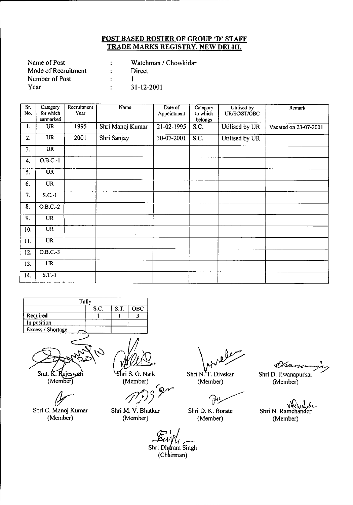| Name of Post        | Watchman / Chowkidar |
|---------------------|----------------------|
| Mode of Recruitment | Direct               |
| Number of Post      |                      |
| Year                | 31-12-2001           |

| $\overline{\text{Sr.}}$<br>No. | Category<br>for which  | Recruitment<br>Year | Name             | Date of<br>Appointment | Category<br>to which | Utilised by<br>UR/SC/ST/OBC | Remark                |
|--------------------------------|------------------------|---------------------|------------------|------------------------|----------------------|-----------------------------|-----------------------|
|                                | earmarked              |                     |                  |                        | belongs              |                             |                       |
| 1.                             | <b>UR</b>              | 1995                | Shri Manoj Kumar | 21-02-1995             | S.C.                 | Utilised by UR              | Vacated on 23-07-2001 |
| 2.                             | <b>UR</b>              | 2001                | Shri Sanjay      | 30-07-2001             | S.C.                 | Utilised by UR              |                       |
| 3.                             | $\overline{UR}$        |                     |                  |                        |                      |                             |                       |
| 4.                             | $O.B.C.-1$             |                     |                  |                        |                      |                             |                       |
| 5.                             | $\overline{\text{UR}}$ |                     |                  |                        |                      |                             |                       |
| 6.                             | <b>UR</b>              |                     |                  |                        |                      |                             |                       |
| 7.                             | $S.C.-1$               |                     |                  |                        |                      |                             |                       |
| $\overline{\mathbf{8}}$ .      | $O.B.C.-2$             |                     |                  |                        |                      |                             |                       |
| 9.                             | <b>UR</b>              |                     |                  |                        |                      |                             |                       |
| 10.                            | $\overline{UR}$        |                     |                  |                        |                      |                             |                       |
| 11.                            | <b>UR</b>              |                     |                  |                        |                      |                             |                       |
| 12.                            | $O.B.C.-3$             |                     |                  |                        |                      |                             |                       |
| 13.                            | <b>UR</b>              |                     |                  |                        |                      |                             |                       |
| 14.                            | $S.T.-1$               |                     |                  |                        |                      |                             |                       |

| Tally                      |  |  |  |  |  |  |  |
|----------------------------|--|--|--|--|--|--|--|
| S.C.<br>S.T.<br><b>OBC</b> |  |  |  |  |  |  |  |
| Required                   |  |  |  |  |  |  |  |
| In position                |  |  |  |  |  |  |  |
| Excess / Shortage          |  |  |  |  |  |  |  |
|                            |  |  |  |  |  |  |  |



 $(Member)$ 

*(Jr'* Shri C. Manoj Kumar (Member)

hri S. G. Naik (Member)

r *ft/J)Y*

Shri M. V. Bhatkar (Member)

*\~J?*

Shri N. T. Divekar (Member)

 $\mathbb{R}^n$ 

Shri D. K. Borate (Member)

 $\mathscr{O}\!\!\mathscr{D}\!\!\mathscr{A}$ 

Shri D. Jiwanapurkar ~ (Member)

.a. Shri N. Ramchander (Member)

Shri Dharam Singh (Chairman)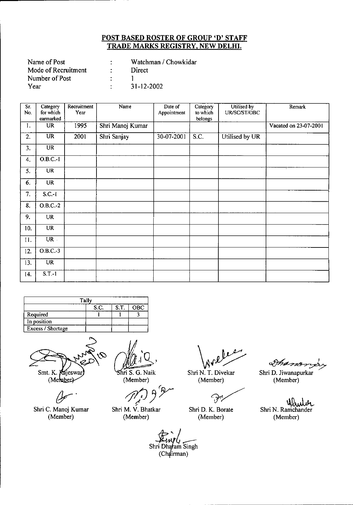| Name of Post        | Watchman / Chowkidar |
|---------------------|----------------------|
| Mode of Recruitment | Direct               |
| Number of Post      |                      |
| Year                | 31-12-2002           |

| $\overline{\text{Sr}}$<br>No. | Category<br>for which<br>earmarked | Recruitment<br>Year | Name             | Date of<br>Appointment | Category<br>to which<br>belongs | Utilised by<br>UR/SC/ST/OBC | Remark                |
|-------------------------------|------------------------------------|---------------------|------------------|------------------------|---------------------------------|-----------------------------|-----------------------|
| 1.                            | <b>UR</b>                          | 1995                | Shri Manoj Kumar |                        |                                 |                             | Vacated on 23-07-2001 |
| 2.                            | $\overline{\text{UR}}$             | 2001                | Shri Sanjay      | 30-07-2001             | S.C.                            | Utilised by UR              |                       |
| 3.                            | <b>UR</b>                          |                     |                  |                        |                                 |                             |                       |
| 4.                            | $O.B.C.-I$                         |                     |                  |                        |                                 |                             |                       |
| 5.                            | <b>UR</b>                          |                     |                  |                        |                                 |                             |                       |
| 6.                            | <b>UR</b>                          |                     |                  |                        |                                 |                             |                       |
| 7.                            | $S.C.-1$                           |                     |                  |                        |                                 |                             |                       |
| $\overline{\mathbf{8}}$ .     | $O.B.C.-2$                         |                     |                  |                        |                                 |                             |                       |
| 9.                            | <b>UR</b>                          |                     |                  |                        |                                 |                             |                       |
| 10.                           | <b>UR</b>                          |                     |                  |                        |                                 |                             |                       |
| 11.                           | $UR$ .                             |                     |                  |                        |                                 |                             |                       |
| 12.                           | $O.B.C.-3$                         |                     |                  |                        |                                 |                             |                       |
| 13.                           | <b>UR</b>                          |                     |                  |                        |                                 |                             |                       |
| 14.                           | $S.T.-1$                           |                     |                  |                        |                                 |                             |                       |

|                    | Tally |  |  |  |  |  |  |
|--------------------|-------|--|--|--|--|--|--|
| OBC<br>S.T<br>S.C. |       |  |  |  |  |  |  |
| Required           |       |  |  |  |  |  |  |
| In position        |       |  |  |  |  |  |  |
| Excess / Shortage  |       |  |  |  |  |  |  |

Smt. K. Kajeswar (Member)

*{Y'*

Shri C. Manoj Kumar (Member)

Shri S. G. Naik

(Member)<br>*r f f g*<sup>*f*</sup> <sup>~</sup> / Shri M. V. Bhatkar

(Member)

Shri N. T. Divekar

(Member)

 $\bigcirc$ 

Shri D. K. Borate (Member)

~ Shri D. Jiwanapurkar

(Member)

سمهها<br>Shri N. Ramchand (Member)

:<br>Einpy<br>Shri Dharam Singh (Chairman)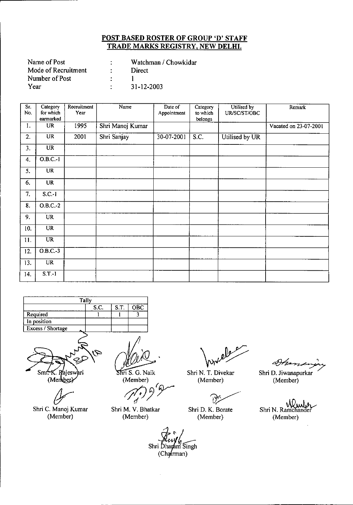| Name of Post        |                 | Watchman / Chowkidar |
|---------------------|-----------------|----------------------|
| Mode of Recruitment | <b>Property</b> | <b>Direct</b>        |
| Number of Post      |                 |                      |
| Year                |                 | 31-12-2003           |

| $\overline{\text{Sr.}}$<br>No. | Category<br>for which<br>earmarked | Recruitment<br>Year | Name             | Date of<br>Appointment | Category<br>to which<br>belongs | Utilised by<br>UR/SC/ST/OBC | Remark                |
|--------------------------------|------------------------------------|---------------------|------------------|------------------------|---------------------------------|-----------------------------|-----------------------|
| 1.                             | <b>UR</b>                          | 1995                | Shri Manoj Kumar |                        |                                 |                             | Vacated on 23-07-2001 |
| 2.                             | <b>UR</b>                          | 2001                | Shri Sanjay      | 30-07-2001             | S.C.                            | Utilised by UR              |                       |
| 3.                             | <b>UR</b>                          |                     |                  |                        |                                 |                             |                       |
| 4.                             | $O.B.C.-1$                         |                     |                  |                        |                                 |                             |                       |
| 5.                             | <b>UR</b>                          |                     |                  |                        |                                 |                             |                       |
| 6.                             | <b>UR</b>                          |                     |                  |                        |                                 |                             |                       |
| 7.                             | $S.C.-1$                           |                     |                  |                        |                                 |                             |                       |
| 8.                             | $O.B.C.-2$                         |                     |                  |                        |                                 |                             |                       |
| 9.                             | <b>UR</b>                          |                     |                  |                        |                                 |                             |                       |
| 10.                            | <b>UR</b>                          |                     |                  |                        |                                 |                             |                       |
| 11.                            | <b>UR</b>                          |                     |                  |                        |                                 |                             |                       |
| 12.                            | $O.B.C.-3$                         |                     |                  |                        |                                 |                             |                       |
| 13.                            | <b>UR</b>                          |                     |                  |                        |                                 |                             |                       |
| 14.                            | $S.T.-1$                           |                     |                  |                        |                                 |                             |                       |

|                     | Tally |  |  |  |  |  |  |
|---------------------|-------|--|--|--|--|--|--|
| S.C.<br>S.T.<br>OBC |       |  |  |  |  |  |  |
| Required            |       |  |  |  |  |  |  |
| In position         |       |  |  |  |  |  |  |
| Excess / Shortage   |       |  |  |  |  |  |  |
|                     |       |  |  |  |  |  |  |



Shri C. Manoj Kumar<br>Shri C. Manoj Kumar (Member)

 $\overline{\text{Shri S}}$ . G. Naik (Member)

Member)<br>*Mr.* 9 <sup>9</sup>

Shri M. V. Bhatkar (Member)

Shri N. T. Divekar (Member)

 $\partial$ 

Shri D. K. Borate (Member)

 $\mathcal{P}$ 

(Member)

Shri N. Ramchand (Member)

Shri Dhayam Singh  $(Chq(rman))$ 

 $\bar{z}$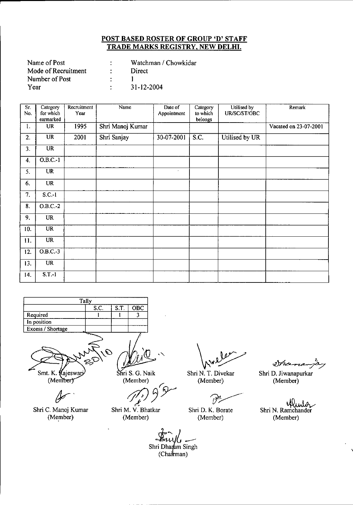| Name of Post        | Watchman / Chowkidar |
|---------------------|----------------------|
| Mode of Recruitment | Direct               |
| Number of Post      |                      |
| Year                | 31-12-2004           |

| $\overline{\text{Sr}}$<br>No. | Category<br>for which  | Recruitment<br>Year | Name             | Date of<br>Appointment | Category<br>to which | Utilised by<br>UR/SC/ST/OBC | <b>Remark</b>         |
|-------------------------------|------------------------|---------------------|------------------|------------------------|----------------------|-----------------------------|-----------------------|
|                               | earmarked              |                     |                  |                        | belongs              |                             |                       |
| 1.                            | <b>UR</b>              | 1995                | Shri Manoj Kumar |                        |                      |                             | Vacated on 23-07-2001 |
| 2.                            | <b>UR</b>              | 2001                | Shri Sanjay      | 30-07-2001             | S.C.                 | Utilised by UR              |                       |
| 3.                            | $\overline{UR}$        |                     |                  |                        |                      |                             |                       |
| 4.                            | $O.B.C.-1$             |                     |                  |                        |                      |                             |                       |
| 5.                            | $\overline{\text{UR}}$ |                     |                  | $\epsilon$             |                      |                             |                       |
| 6.                            | <b>UR</b>              |                     |                  |                        |                      |                             |                       |
| 7.                            | $S.C.-1$               |                     |                  |                        |                      |                             |                       |
| 8.                            | $O.B.C.-2$             |                     |                  |                        |                      |                             |                       |
| 9.                            | <b>UR</b>              |                     |                  |                        |                      |                             |                       |
| 10.                           | <b>UR</b>              |                     |                  |                        |                      |                             |                       |
| 11.                           | $\overline{UR}$        |                     |                  |                        |                      |                             |                       |
| 12.                           | $O.B.C.-3$             |                     |                  |                        |                      |                             |                       |
| 13.                           | $\overline{\text{UR}}$ |                     |                  |                        |                      |                             |                       |
| 14.                           | $S.T.-1$               |                     |                  |                        |                      |                             |                       |



Smt. K. Kajeswari

(Member)

Shri C. Manoj Kumar (Member)

Shri S. G. Naik (Member)

*r.* lember)<br>*J<sub>t</sub>*<sup>p</sup>) 9<sup>5</sup>

Shri M. V. Bhatkar (Member)

Weller<br>Nurley<br>N. T. Divekar Shr

Shri N. T. Divekar (Member)

 $\widehat{\mathscr{O}}$ 

Shri D. K. Borate (Member)

2 han

Shri D. Jiwanapurkar (Member)

Winter Shri N. Ramchander (Member)

Shri Dharam Singh (Chairman)